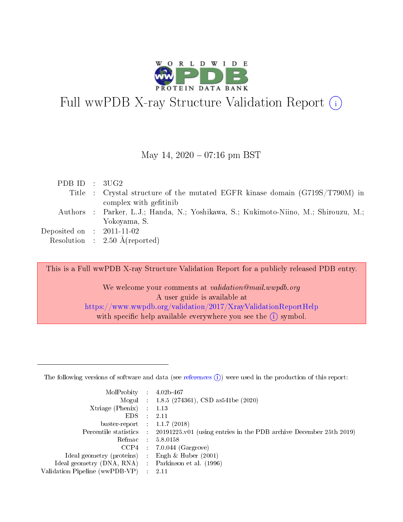

# Full wwPDB X-ray Structure Validation Report  $(i)$

#### May 14,  $2020 - 07:16$  pm BST

| PDBID : 3UG2                |                                                                                     |
|-----------------------------|-------------------------------------------------------------------------------------|
|                             | Title : Crystal structure of the mutated EGFR kinase domain (G719S/T790M) in        |
|                             | complex with gefitinib                                                              |
|                             | Authors : Parker, L.J.; Handa, N.; Yoshikawa, S.; Kukimoto-Niino, M.; Shirouzu, M.; |
|                             | Yokoyama, S.                                                                        |
| Deposited on : $2011-11-02$ |                                                                                     |
|                             | Resolution : $2.50 \text{ Å}$ (reported)                                            |

This is a Full wwPDB X-ray Structure Validation Report for a publicly released PDB entry.

We welcome your comments at validation@mail.wwpdb.org A user guide is available at <https://www.wwpdb.org/validation/2017/XrayValidationReportHelp> with specific help available everywhere you see the  $(i)$  symbol.

The following versions of software and data (see [references](https://www.wwpdb.org/validation/2017/XrayValidationReportHelp#references)  $(1)$ ) were used in the production of this report:

| MolProbity :                   |               | $4.02b - 467$                                                                |
|--------------------------------|---------------|------------------------------------------------------------------------------|
|                                |               | Mogul : $1.8.5$ (274361), CSD as 541be (2020)                                |
| Xtriage (Phenix)               | $\mathcal{L}$ | 1.13                                                                         |
| EDS.                           |               | 2.11                                                                         |
| buster-report : $1.1.7$ (2018) |               |                                                                              |
| Percentile statistics :        |               | $20191225 \text{ v}01$ (using entries in the PDB archive December 25th 2019) |
| Refmac :                       |               | 5.8.0158                                                                     |
| CCP4                           |               | $7.0.044$ (Gargrove)                                                         |
| Ideal geometry (proteins) :    |               | Engh $\&$ Huber (2001)                                                       |
| Ideal geometry (DNA, RNA) :    |               | Parkinson et al. (1996)                                                      |
| Validation Pipeline (wwPDB-VP) | $\mathcal{L}$ | 2.11                                                                         |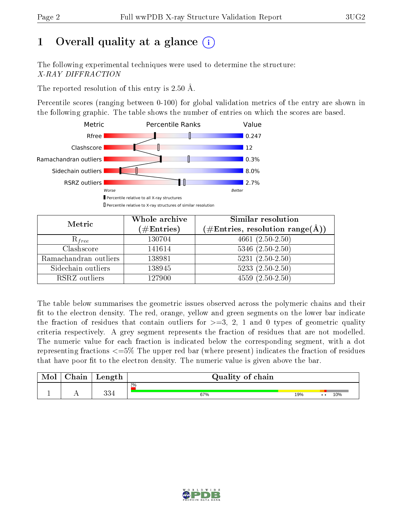# 1 [O](https://www.wwpdb.org/validation/2017/XrayValidationReportHelp#overall_quality)verall quality at a glance  $(i)$

The following experimental techniques were used to determine the structure: X-RAY DIFFRACTION

The reported resolution of this entry is 2.50 Å.

Percentile scores (ranging between 0-100) for global validation metrics of the entry are shown in the following graphic. The table shows the number of entries on which the scores are based.



| Metric                | Whole archive<br>(# $\rm{Entries}$ ) | Similar resolution<br>$(\#\text{Entries}, \text{resolution range}(\text{\AA})\)$ |
|-----------------------|--------------------------------------|----------------------------------------------------------------------------------|
|                       |                                      |                                                                                  |
| $R_{free}$            | 130704                               | $4661 (2.50 - 2.50)$                                                             |
| Clashscore            | 141614                               | $5346$ $(2.50-2.50)$                                                             |
| Ramachandran outliers | 138981                               | $5231 (2.50 - 2.50)$                                                             |
| Sidechain outliers    | 138945                               | $5233(2.50-2.50)$                                                                |
| RSRZ outliers         | 127900                               | $4559(2.50-2.50)$                                                                |

The table below summarises the geometric issues observed across the polymeric chains and their fit to the electron density. The red, orange, yellow and green segments on the lower bar indicate the fraction of residues that contain outliers for  $>=3, 2, 1$  and 0 types of geometric quality criteria respectively. A grey segment represents the fraction of residues that are not modelled. The numeric value for each fraction is indicated below the corresponding segment, with a dot representing fractions  $\epsilon=5\%$  The upper red bar (where present) indicates the fraction of residues that have poor fit to the electron density. The numeric value is given above the bar.

| Mol | $\cap$ hain | Length       | Quality of chain |     |                         |
|-----|-------------|--------------|------------------|-----|-------------------------|
|     |             |              | $2\%$            |     |                         |
|     |             | 99 A<br>- כי | 67%              | 19% | 10%<br>$\bullet\bullet$ |

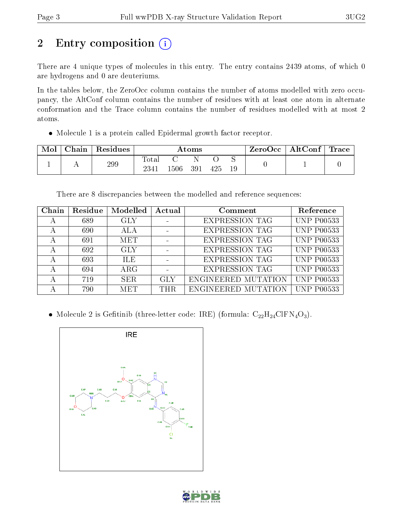# 2 Entry composition (i)

There are 4 unique types of molecules in this entry. The entry contains 2439 atoms, of which 0 are hydrogens and 0 are deuteriums.

In the tables below, the ZeroOcc column contains the number of atoms modelled with zero occupancy, the AltConf column contains the number of residues with at least one atom in alternate conformation and the Trace column contains the number of residues modelled with at most 2 atoms.

Molecule 1 is a protein called Epidermal growth factor receptor.

| Mol | Chain | Residues | Atoms               |       |     |     | ZeroOcc | $\mid$ AltConf $\mid$ Trace |  |  |
|-----|-------|----------|---------------------|-------|-----|-----|---------|-----------------------------|--|--|
|     |       | 299      | Tota.<br><b>234</b> | .506. | 391 | 425 | 19      |                             |  |  |

There are 8 discrepancies between the modelled and reference sequences:

| Chain | Residue | Modelled   | Actual | Comment               | Reference               |
|-------|---------|------------|--------|-----------------------|-------------------------|
| А     | 689     | GLY        |        | <b>EXPRESSION TAG</b> | <b>UNP P00533</b>       |
|       | 690     | ALA        |        | <b>EXPRESSION TAG</b> | <b>UNP P00533</b>       |
| А     | 691     | <b>MET</b> |        | <b>EXPRESSION TAG</b> | <b>UNP P00533</b>       |
|       | 692     | <b>GLY</b> |        | <b>EXPRESSION TAG</b> | <b>UNP P00533</b>       |
|       | 693     | <b>ILE</b> |        | <b>EXPRESSION TAG</b> | <b>UNP P00533</b>       |
|       | 694     | $\rm{ARG}$ |        | <b>EXPRESSION TAG</b> | $\overline{UNP}$ P00533 |
|       | 719     | SER.       | GLY    | ENGINEERED MUTATION   | <b>UNP P00533</b>       |
|       | 790     | <b>MET</b> | THR.   | ENGINEERED MUTATION   | <b>UNP P00533</b>       |

• Molecule 2 is Gefitinib (three-letter code: IRE) (formula:  $C_{22}H_{24}ClFN_4O_3$ ).



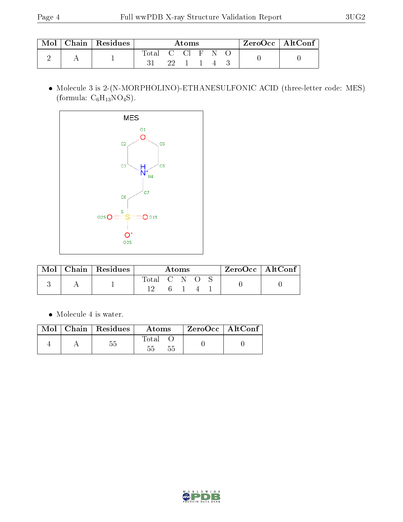| $\operatorname{Mol}$ | $\mid$ Chain $\mid$ Residues | A toms           |  |          |  |  | ZeroOcc   AltConf |  |  |
|----------------------|------------------------------|------------------|--|----------|--|--|-------------------|--|--|
|                      |                              | Total C Cl F N O |  | 22 1 1 4 |  |  |                   |  |  |

 Molecule 3 is 2-(N-MORPHOLINO)-ETHANESULFONIC ACID (three-letter code: MES) (formula:  $C_6H_{13}NO_4S$ ).



| Mol | Chain   Residues | <b>Atoms</b> |  |  |  |  | ZeroOcc   AltConf |
|-----|------------------|--------------|--|--|--|--|-------------------|
|     |                  | Total C N O  |  |  |  |  |                   |
|     |                  |              |  |  |  |  |                   |

 $\bullet\,$  Molecule 4 is water.

| Mol | $\mid$ Chain $\mid$ Residues | Atoms       | ZeroOcc   AltConf |
|-----|------------------------------|-------------|-------------------|
|     |                              | $\rm Total$ |                   |

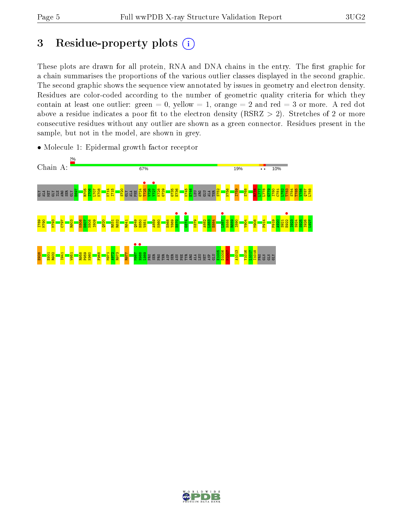## 3 Residue-property plots  $(i)$

These plots are drawn for all protein, RNA and DNA chains in the entry. The first graphic for a chain summarises the proportions of the various outlier classes displayed in the second graphic. The second graphic shows the sequence view annotated by issues in geometry and electron density. Residues are color-coded according to the number of geometric quality criteria for which they contain at least one outlier: green  $= 0$ , yellow  $= 1$ , orange  $= 2$  and red  $= 3$  or more. A red dot above a residue indicates a poor fit to the electron density (RSRZ  $> 2$ ). Stretches of 2 or more consecutive residues without any outlier are shown as a green connector. Residues present in the sample, but not in the model, are shown in grey.



• Molecule 1: Epidermal growth factor receptor

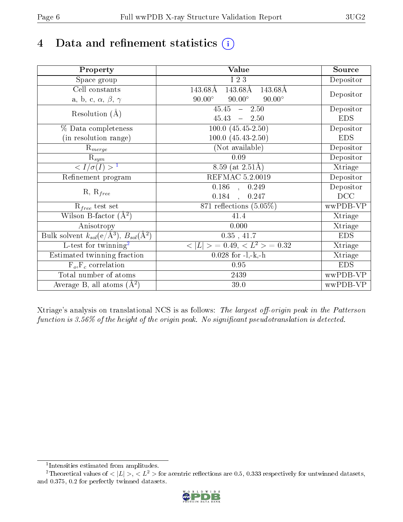# 4 Data and refinement statistics  $(i)$

| Property                                                             | Value                                               | Source     |
|----------------------------------------------------------------------|-----------------------------------------------------|------------|
| Space group                                                          | I 2 3                                               | Depositor  |
| Cell constants                                                       | 143.68Å<br>$\overline{14}3.68\text{\AA}$<br>143.68Å |            |
| a, b, c, $\alpha$ , $\beta$ , $\gamma$                               | $90.00^\circ$<br>$90.00^\circ$<br>$90.00^\circ$     | Depositor  |
| Resolution $(A)$                                                     | $45.45 - 2.50$                                      | Depositor  |
|                                                                      | $45.43 - 2.50$                                      | <b>EDS</b> |
| % Data completeness                                                  | $100.0 (45.45 - 2.50)$                              | Depositor  |
| (in resolution range)                                                | $100.0 (45.43 - 2.50)$                              | <b>EDS</b> |
| $\mathrm{R}_{merge}$                                                 | (Not available)                                     | Depositor  |
| $\mathrm{R}_{sym}$                                                   | 0.09                                                | Depositor  |
| $\sqrt{I/\sigma}(I) > 1$                                             | 8.59 (at $2.51\text{\AA}$ )                         | Xtriage    |
| Refinement program                                                   | REFMAC 5.2.0019                                     | Depositor  |
|                                                                      | $0.186$ , $0.249$                                   | Depositor  |
| $R, R_{free}$                                                        | 0.184<br>0.247                                      | DCC        |
| $R_{free}$ test set                                                  | 871 reflections $(5.05\%)$                          | wwPDB-VP   |
| Wilson B-factor $(A^2)$                                              | 41.4                                                | Xtriage    |
| Anisotropy                                                           | 0.000                                               | Xtriage    |
| Bulk solvent $k_{sol}(e/\mathring{A}^3)$ , $B_{sol}(\mathring{A}^2)$ | 0.35, 41.7                                          | <b>EDS</b> |
| L-test for twinning <sup>2</sup>                                     | $< L >$ = 0.49, $< L2$ > = 0.32                     | Xtriage    |
| Estimated twinning fraction                                          | $0.028$ for $-l,-k,-h$                              | Xtriage    |
| $F_o, F_c$ correlation                                               | 0.95                                                | <b>EDS</b> |
| Total number of atoms                                                | 2439                                                | wwPDB-VP   |
| Average B, all atoms $(A^2)$                                         | 39.0                                                | wwPDB-VP   |

Xtriage's analysis on translational NCS is as follows: The largest off-origin peak in the Patterson function is  $3.56\%$  of the height of the origin peak. No significant pseudotranslation is detected.

<sup>&</sup>lt;sup>2</sup>Theoretical values of  $\langle |L| \rangle$ ,  $\langle L^2 \rangle$  for acentric reflections are 0.5, 0.333 respectively for untwinned datasets, and 0.375, 0.2 for perfectly twinned datasets.



<span id="page-5-1"></span><span id="page-5-0"></span><sup>1</sup> Intensities estimated from amplitudes.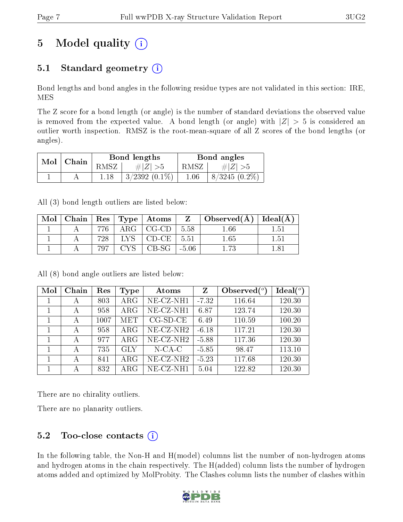# 5 Model quality  $(i)$

## 5.1 Standard geometry  $(i)$

Bond lengths and bond angles in the following residue types are not validated in this section: IRE, MES

The Z score for a bond length (or angle) is the number of standard deviations the observed value is removed from the expected value. A bond length (or angle) with  $|Z| > 5$  is considered an outlier worth inspection. RMSZ is the root-mean-square of all Z scores of the bond lengths (or angles).

| Mol | ' Chain |      | Bond lengths       | Bond angles |                 |  |
|-----|---------|------|--------------------|-------------|-----------------|--|
|     |         | RMSZ | $\ Z\  > 5$        | RMSZ        | $\# Z  > 5$     |  |
|     |         |      | $3/2392$ $(0.1\%)$ | $1.06\,$    | $8/3245(0.2\%)$ |  |

All (3) bond length outliers are listed below:

| Mol | Chain | $\operatorname{Res}$ |       | $\perp$ Type $\parallel$ Atoms | $Z_{-}$ | $\vert$ Observed $(A)$ | Ideal $\rm (\AA$ |
|-----|-------|----------------------|-------|--------------------------------|---------|------------------------|------------------|
|     |       |                      | 4 R.G | $CG-CD$                        | 5.58    | .66                    | 151              |
|     |       | 728                  |       | $CD-CE$ .                      | 5.51    | $1.65\,$               | $1.51\,$         |
|     |       |                      |       | CB-SG-                         | $-5.06$ |                        |                  |

All (8) bond angle outliers are listed below:

| Mol | Chain | Res  | Type       | Atoms                 | Z       | Observed $(^\circ)$ | $Ideal(^o)$ |
|-----|-------|------|------------|-----------------------|---------|---------------------|-------------|
|     | А     | 803  | $\rm{ARG}$ | NE-CZ-NH1             | $-7.32$ | 116.64              | 120.30      |
|     | А     | 958  | $\rm{ARG}$ | NE-CZ-NH1             | 6.87    | 123.74              | 120.30      |
|     | А     | 1007 | <b>MET</b> | $CG-SD-CE$            | 6.49    | 110.59              | 100.20      |
|     | А     | 958  | $\rm{ARG}$ | NE-CZ-NH <sub>2</sub> | $-6.18$ | 117.21              | 120.30      |
|     | А     | 977  | $\rm{ARG}$ | NE-CZ-NH <sub>2</sub> | $-5.88$ | 117.36              | 120.30      |
|     | А     | 735  | <b>GLY</b> | $N$ -CA-C             | $-5.85$ | 98.47               | 113.10      |
|     | А     | 841  | $\rm{ARG}$ | NE-CZ-NH <sub>2</sub> | $-5.23$ | 117.68              | 120.30      |
|     | А     | 832  | $\rm{ARG}$ | NE-CZ-NH1             | 5.04    | 122.82              | 120.30      |

There are no chirality outliers.

There are no planarity outliers.

### $5.2$  Too-close contacts  $(i)$

In the following table, the Non-H and H(model) columns list the number of non-hydrogen atoms and hydrogen atoms in the chain respectively. The H(added) column lists the number of hydrogen atoms added and optimized by MolProbity. The Clashes column lists the number of clashes within

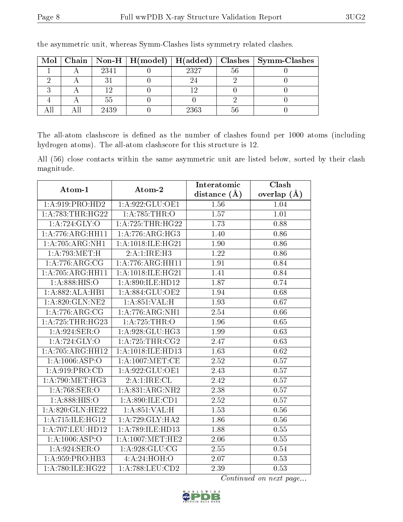| $Mol \vert$ |      |      |    | Chain   Non-H   H(model)   H(added)   Clashes   Symm-Clashes |
|-------------|------|------|----|--------------------------------------------------------------|
|             | 2341 | 2327 | 56 |                                                              |
|             |      |      |    |                                                              |
|             |      |      |    |                                                              |
|             |      |      |    |                                                              |
|             | 2439 | 2363 |    |                                                              |

the asymmetric unit, whereas Symm-Clashes lists symmetry related clashes.

The all-atom clashscore is defined as the number of clashes found per 1000 atoms (including hydrogen atoms). The all-atom clashscore for this structure is 12.

All (56) close contacts within the same asymmetric unit are listed below, sorted by their clash magnitude.

| Atom-1                        | $\boldsymbol{\mathrm{Atom}\text{-}2}$ | Interatomic    | Clash         |  |
|-------------------------------|---------------------------------------|----------------|---------------|--|
|                               |                                       | distance $(A)$ | overlap $(A)$ |  |
| 1:A:919:PRO:HD2               | 1:A:922:GLU:OE1                       | 1.56           | 1.04          |  |
| 1: A:783:THR:HG22             | 1:A:785:THR:O                         | 1.57           | 1.01          |  |
| 1:A:724:GLY:O                 | 1: A: 725: THR: HG22                  | 1.73           | 0.88          |  |
| 1:A:776:ARG:HH11              | 1:A:776:ARG:HG3                       | 1.40           | 0.86          |  |
| 1:A:705:ARG:NH1               | 1: A:1018: ILE: HG21                  | 1.90           | 0.86          |  |
| 1:A:793:MET:H                 | 2:A:1:IRE:H3                          | 1.22           | 0.86          |  |
| 1: A:776:ARG:CG               | 1:A:776:ARG:HH11                      | 1.91           | 0.84          |  |
| 1:A:705:ARG:HH11              | 1:A:1018:ILE:HG21                     | 1.41           | 0.84          |  |
| 1: A: 888: HIS: O             | 1: A:890: ILE: HD12                   | 1.87           | 0.74          |  |
| 1:A:882:ALA:HB1               | 1:A:884:GLU:OE2                       | 1.94           | 0.68          |  |
| 1:A:820:GLN:NE2               | 1:A:851:VAL:H                         | 1.93           | 0.67          |  |
| 1: A:776:ARG:CG               | 1: A:776:ARG:NH1                      | 2.54           | 0.66          |  |
| $1:A:725:THR:H\overline{G}23$ | 1: A:725:THR:O                        | 1.96           | 0.65          |  |
| 1: A:924: SER:O               | 1:A:928:GLU:HG3                       | 1.99           | 0.63          |  |
| 1: A:724: GLY:O               | 1:A:725:THR:CG2                       | 2.47           | 0.63          |  |
| 1:A:705:ARG:HH12              | 1:A:1018:ILE:HD13                     | 1.63           | 0.62          |  |
| 1: A: 1006: ASP: O            | $1: A:1007$ :MET:CE                   | 2.52           | 0.57          |  |
| 1: A:919: PRO:CD              | 1:A:922:GLU:OE1                       | 2.43           | 0.57          |  |
| 1: A:790:MET:HG3              | 2:A:1:IRE:CL                          | 2.42           | 0.57          |  |
| 1: A:768: SER:O               | 1:A:831:ARG:NH2                       | 2.38           | 0.57          |  |
| 1: A: 888: HIS: O             | 1: A:890: ILE: CD1                    | 2.52           | 0.57          |  |
| 1:A:820:GLN:HE22              | 1: A:851:VAL:H                        | 1.53           | 0.56          |  |
| 1: A:715: ILE: HG12           | 1:A:729:GLY:HA2                       | 1.86           | 0.56          |  |
| 1: A:707:LEU:HD12             | 1:A:789:ILE:HD13                      | 1.88           | 0.55          |  |
| 1:A:1006:ASP:O                | 1: A: 1007: MET: HE2                  | 2.06           | 0.55          |  |
| 1: A:924: SER:O               | 1: A:928: GLU:CG                      | 2.55           | 0.54          |  |
| 1: A:959: PRO:HB3             | 4:A:24:HOH:O                          | 2.07           | 0.53          |  |
| 1:A:780:ILE:HG22              | 1: A:788:LEU:CD2                      | 2.39           | 0.53          |  |

Continued on next page...

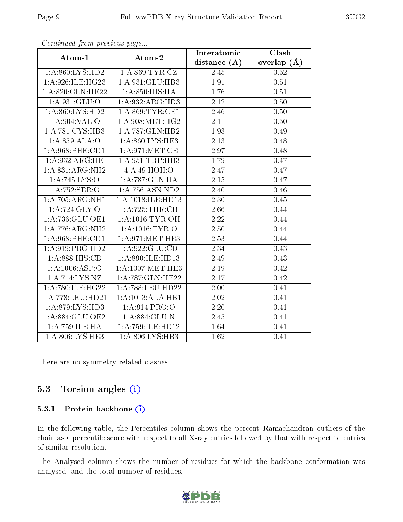| . <i>. .</i>       | $\frac{1}{2}$ $\cdots$ $\frac{1}{2}$ $\cdots$ $\frac{1}{2}$ | Interatomic       | Clash         |
|--------------------|-------------------------------------------------------------|-------------------|---------------|
| Atom-1             | Atom-2                                                      | distance $(A)$    | overlap $(A)$ |
| 1:A:860:LYS:HD2    | 1: A:869:TYR:CZ                                             | 2.45              | 0.52          |
| 1:A:926:ILE:HG23   | 1:A:931:GLU:HB3                                             | 1.91              | 0.51          |
| 1:A:820:GLN:HE22   | 1: A:850: HIS: HA                                           | 1.76              | 0.51          |
| 1: A:931: GLU:O    | 1:A:932:ARG:HD3                                             | $2.12\,$          | 0.50          |
| 1: A:860: LYS:HD2  | 1: A:869:TYR:CE1                                            | 2.46              | 0.50          |
| 1: A:904: VAL:O    | 1: A:908:MET:HG2                                            | 2.11              | 0.50          |
| 1:A:781:CYS:HB3    | 1: A:787: GLN: HB2                                          | 1.93              | 0.49          |
| 1:A:859:ALA:O      | 1: A:860: LYS: HE3                                          | 2.13              | 0.48          |
| 1: A:968: PHE:CD1  | 1: A:971:MET:CE                                             | 2.97              | 0.48          |
| 1:A:932:ARG:HE     | 1: A:951:TRP:HB3                                            | 1.79              | 0.47          |
| 1:A:831:ARG:NH2    | 4: A:49: HOH:O                                              | 2.47              | 0.47          |
| 1:A:745:LYS:O      | 1:A:787:GLN:HA                                              | 2.15              | 0.47          |
| 1:A:752:SER:O      | 1:A:756:ASN:ND2                                             | 2.40              | 0.46          |
| 1:A:705:ARG:NH1    | 1:A:1018:ILE:HD13                                           | 2.30              | 0.45          |
| 1: A:724: GLY:O    | 1:A:725:THR:CB                                              | 2.66              | 0.44          |
| 1:A:736:GLU:OE1    | 1: A:1016:TYR:OH                                            | 2.22              | 0.44          |
| 1:A:776:ARG:NH2    | 1: A:1016:TYR:O                                             | 2.50              | 0.44          |
| 1: A:968: PHE:CD1  | 1:A:971:MET:HE3                                             | $\overline{2}.53$ | 0.44          |
| 1:A:919:PRO:HD2    | 1: A:922: GLU:CD                                            | 2.34              | 0.43          |
| 1: A:888: HIS: CB  | 1:A:890:ILE:HD13                                            | 2.49              | 0.43          |
| 1: A: 1006: ASP:O  | $1:$ A:1007:MET:HE3                                         | 2.19              | 0.42          |
| 1:A:714:LYS:NZ     | 1:A:787:GLN:HE22                                            | 2.17              | 0.42          |
| 1:A:780:ILE:HG22   | 1:A:788:LEU:HD22                                            | 2.00              | 0.41          |
| 1:A:778:LEU:HD21   | 1:A:1013:ALA:HB1                                            | 2.02              | 0.41          |
| 1: A:879: LYS: HD3 | 1: A:914: PRO:O                                             | 2.20              | 0.41          |
| 1:A:884:GLU:OE2    | 1:A:884:GLU:N                                               | 2.45              | 0.41          |
| 1: A: 759: ILE: HA | 1:A:759:ILE:HD12                                            | 1.64              | 0.41          |
| 1:A:806:LYS:HE3    | 1:A:806:LYS:HB3                                             | 1.62              | 0.41          |

Continued from previous page...

There are no symmetry-related clashes.

### 5.3 Torsion angles  $(i)$

#### 5.3.1 Protein backbone (i)

In the following table, the Percentiles column shows the percent Ramachandran outliers of the chain as a percentile score with respect to all X-ray entries followed by that with respect to entries of similar resolution.

The Analysed column shows the number of residues for which the backbone conformation was analysed, and the total number of residues.

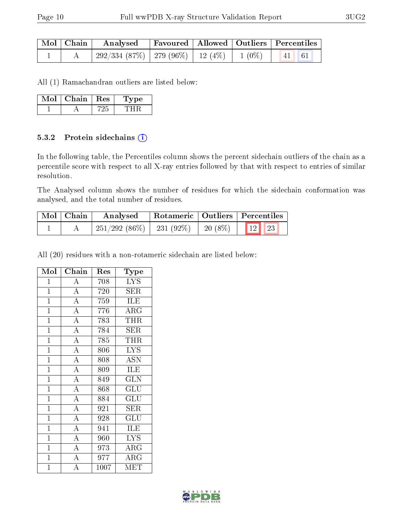|  | $\mid$ Mol $\mid$ Chain $\mid$ Analysed                            |  | Favoured   Allowed   Outliers   Percentiles |  |
|--|--------------------------------------------------------------------|--|---------------------------------------------|--|
|  | $292/334$ $(87\%)$   279 $(96\%)$   12 $(4\%)$   1 $(0\%)$   41 61 |  |                                             |  |

All (1) Ramachandran outliers are listed below:

| Mol | Chain | $\pm$ Res $\pm$ | Type |
|-----|-------|-----------------|------|
|     |       |                 |      |

#### 5.3.2 Protein sidechains (i)

In the following table, the Percentiles column shows the percent sidechain outliers of the chain as a percentile score with respect to all X-ray entries followed by that with respect to entries of similar resolution.

The Analysed column shows the number of residues for which the sidechain conformation was analysed, and the total number of residues.

| Mol   Chain | Rotameric   Outliers   Percentiles<br>Analysed |                    |                                                                                          |  |
|-------------|------------------------------------------------|--------------------|------------------------------------------------------------------------------------------|--|
|             | 251/292 (86\%)                                 | $\frac{231}{92\%}$ | $\begin{array}{ c c c c c c c c c } \hline 1 & 20 & (8\%)& 12 & 23 \ \hline \end{array}$ |  |

All (20) residues with a non-rotameric sidechain are listed below:

| Mol            | Chain              | Res  | $_{\rm Type}$                      |
|----------------|--------------------|------|------------------------------------|
| $\mathbf{1}$   | $\overline{A}$     | 708  | $\overline{\text{LYS}}$            |
| $\mathbf{1}$   | $\overline{\rm A}$ | 720  | SER                                |
| $\mathbf{1}$   | $\overline{A}$     | 759  | ILE                                |
| $\overline{1}$ | $\overline{A}$     | 776  | $\overline{\rm{ARG}}$              |
| $\mathbf{1}$   | $\overline{A}$     | 783  | <b>THR</b>                         |
| $\overline{1}$ | $\overline{A}$     | 784  | $\overline{\text{S}}\text{ER}$     |
| $\mathbf{1}$   | $\overline{\rm A}$ | 785  | <b>THR</b>                         |
| $\overline{1}$ | $\overline{A}$     | 806  | $\overline{\text{LYS}}$            |
| $\overline{1}$ | $\overline{A}$     | 808  | <b>ASN</b>                         |
| $\overline{1}$ | $\overline{A}$     | 809  | ILE                                |
| $\overline{1}$ | $\overline{A}$     | 849  | <b>GLN</b>                         |
| $\mathbf{1}$   | $\overline{A}$     | 868  | GLU                                |
| $\overline{1}$ | $\overline{A}$     | 884  | $\overline{\mathrm{GLU}}$          |
| $\overline{1}$ | $\overline{A}$     | 921  | <b>SER</b>                         |
| $\overline{1}$ | $\overline{A}$     | 928  | $\mathrm{GL}\overline{\mathrm{U}}$ |
| $\mathbf{1}$   | $\overline{A}$     | 941  | ILE                                |
| $\overline{1}$ | $\overline{A}$     | 960  | <b>LYS</b>                         |
| $\mathbf{1}$   | $\overline{A}$     | 973  | $\overline{\rm{A}}\rm{RG}$         |
| $\mathbf{1}$   | $\overline{\rm A}$ | 977  | $\rm{ARG}$                         |
| $\overline{1}$ | $\overline{\rm A}$ | 1007 | MET                                |

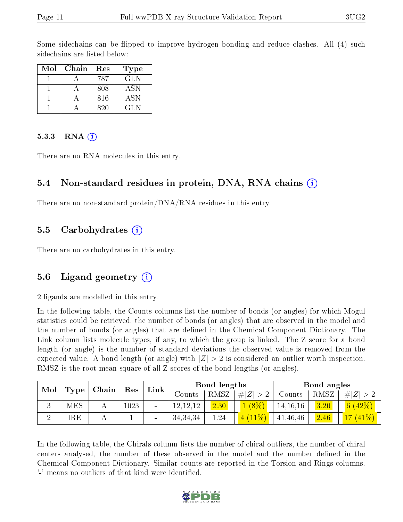Some sidechains can be flipped to improve hydrogen bonding and reduce clashes. All (4) such sidechains are listed below:

| Mol | Chain | Res  | <b>Type</b> |
|-----|-------|------|-------------|
|     |       | 787  | <b>GLN</b>  |
|     |       | 808  | <b>ASN</b>  |
|     |       | 816  | <b>ASN</b>  |
|     |       | ୧ ୨୦ | GL N        |

#### 5.3.3 RNA  $(i)$

There are no RNA molecules in this entry.

#### 5.4 Non-standard residues in protein, DNA, RNA chains  $(i)$

There are no non-standard protein/DNA/RNA residues in this entry.

#### 5.5 Carbohydrates  $(i)$

There are no carbohydrates in this entry.

#### 5.6 Ligand geometry  $(i)$

2 ligands are modelled in this entry.

In the following table, the Counts columns list the number of bonds (or angles) for which Mogul statistics could be retrieved, the number of bonds (or angles) that are observed in the model and the number of bonds (or angles) that are dened in the Chemical Component Dictionary. The Link column lists molecule types, if any, to which the group is linked. The Z score for a bond length (or angle) is the number of standard deviations the observed value is removed from the expected value. A bond length (or angle) with  $|Z| > 2$  is considered an outlier worth inspection. RMSZ is the root-mean-square of all Z scores of the bond lengths (or angles).

| Mol |            |  |      |        |            |      |             |            | $\mid$ Type $\mid$ Chain $\mid$ Res $\mid$ |             | $^+$ Link |  | Bond lengths |  |  | Bond angles |  |
|-----|------------|--|------|--------|------------|------|-------------|------------|--------------------------------------------|-------------|-----------|--|--------------|--|--|-------------|--|
|     |            |  |      |        | Counts     | RMSZ | $\# Z  > 2$ | Counts     | RMSZ                                       | $\# Z  > 2$ |           |  |              |  |  |             |  |
| ◡   | <b>MES</b> |  | 1023 | $\sim$ | 12, 12, 12 | 2.30 | $(8\%)$     | 14, 16, 16 | 3.20                                       | $\sqrt{6}$  |           |  |              |  |  |             |  |
|     | IRE        |  |      | $\sim$ | 34, 34, 34 | 1.24 | $11\%$      | 41,46,46   | 2.46                                       | $1\%$ )     |           |  |              |  |  |             |  |

In the following table, the Chirals column lists the number of chiral outliers, the number of chiral centers analysed, the number of these observed in the model and the number defined in the Chemical Component Dictionary. Similar counts are reported in the Torsion and Rings columns. '-' means no outliers of that kind were identified.

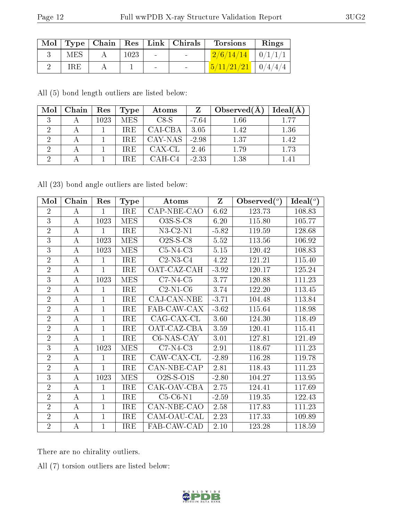| Mol |     | Type   Chain |      |                | Res   Link   Chirals     | <b>Torsions</b>                | Rings |
|-----|-----|--------------|------|----------------|--------------------------|--------------------------------|-------|
|     | MES |              | 1023 | $\sim 100$     | <b>Contract Contract</b> | $2/6/14/14$   $0/1/1/1$        |       |
|     | IRE |              |      | $\blacksquare$ | $\sim$                   | $\frac{5}{11/21/21}$   0/4/4/4 |       |

All (5) bond length outliers are listed below:

| Mol            | Chain | ${\mathop{\mathrm{Res}}\nolimits}$ | Type       | Atoms    | Z       | Observed $(A)$ | Ideal $(A)$ |
|----------------|-------|------------------------------------|------------|----------|---------|----------------|-------------|
|                |       | 1023                               | <b>MES</b> | $CS-S$   | $-7.64$ | 1.66           | 1 77        |
|                |       |                                    | <b>IRE</b> | CAI-CBA  | 3.05    | 1.42           | 1.36        |
| $\overline{2}$ |       |                                    | <b>IRE</b> | CAY-NAS  | $-2.98$ | 1.37           | 1.42        |
| $\overline{2}$ |       |                                    | IRE.       | CAX-CL   | 2.46    | 1.79           | 1.73        |
| - 69           |       |                                    | <b>IRE</b> | $CAH-C4$ | $-2.33$ | 1.38           |             |

All (23) bond angle outliers are listed below:

| Mol            | Chain            | Res          | <b>Type</b> | Atoms       | $Z_{\parallel}$ | Observed $(°)$ | Ideal $(°)$ |
|----------------|------------------|--------------|-------------|-------------|-----------------|----------------|-------------|
| $\overline{2}$ | А                | $\mathbf{1}$ | IRE         | CAP-NBE-CAO | 6.62            | 123.73         | 108.83      |
| $\overline{3}$ | А                | 1023         | <b>MES</b>  | $O3S-S-C8$  | 6.20            | 115.80         | 105.77      |
| $\overline{2}$ | А                | $\mathbf{1}$ | <b>IRE</b>  | $N3-C2-N1$  | $-5.82$         | 119.59         | 128.68      |
| 3              | A                | 1023         | <b>MES</b>  | $O2S-S-C8$  | 5.52            | 113.56         | 106.92      |
| $\overline{3}$ | A                | 1023         | <b>MES</b>  | $C5-N4-C3$  | 5.15            | 120.42         | 108.83      |
| $\overline{2}$ | A                | 1            | <b>IRE</b>  | $C2-N3-C4$  | 4.22            | 121.21         | 115.40      |
| $\overline{2}$ | А                | $\mathbf{1}$ | IRE         | OAT-CAZ-CAH | $-3.92$         | 120.17         | 125.24      |
| 3              | А                | 1023         | <b>MES</b>  | $C7-N4-C5$  | 3.77            | 120.88         | 111.23      |
| $\overline{2}$ | A                | $\mathbf{1}$ | IRE         | $C2-N1-C6$  | 3.74            | 122.20         | 113.45      |
| $\overline{2}$ | А                | $\mathbf{1}$ | <b>IRE</b>  | CAJ-CAN-NBE | $-3.71$         | 104.48         | 113.84      |
| $\overline{2}$ | А                | $\mathbf{1}$ | <b>IRE</b>  | FAB-CAW-CAX | $-3.62$         | 115.64         | 118.98      |
| $\overline{2}$ | $\bf{A}$         | $\mathbf{1}$ | <b>IRE</b>  | CAG-CAX-CL  | 3.60            | 124.30         | 118.49      |
| $\overline{2}$ | А                | $\mathbf{1}$ | <b>IRE</b>  | OAT-CAZ-CBA | 3.59            | 120.41         | 115.41      |
| $\overline{2}$ | $\boldsymbol{A}$ | $\mathbf{1}$ | <b>IRE</b>  | C6-NAS-CAY  | 3.01            | 127.81         | 121.49      |
| 3              | А                | 1023         | <b>MES</b>  | $C7-N4-C3$  | 2.91            | 118.67         | 111.23      |
| $\overline{2}$ | А                | 1            | IRE         | CAW-CAX-CL  | $-2.89$         | 116.28         | 119.78      |
| $\overline{2}$ | А                | $\mathbf{1}$ | IRE         | CAN-NBE-CAP | 2.81            | 118.43         | 111.23      |
| 3              | А                | 1023         | <b>MES</b>  | $O2S-S-O1S$ | $-2.80$         | 104.27         | 113.95      |
| $\overline{2}$ | А                | $\mathbf{1}$ | IRE         | CAK-OAV-CBA | 2.75            | 124.41         | 117.69      |
| $\overline{2}$ | А                | $\mathbf{1}$ | IRE         | $C5-C6-N1$  | $-2.59$         | 119.35         | 122.43      |
| $\overline{2}$ | А                | $\mathbf{1}$ | <b>IRE</b>  | CAN-NBE-CAO | 2.58            | 117.83         | 111.23      |
| $\overline{2}$ | А                | $\mathbf{1}$ | <b>IRE</b>  | CAM-OAU-CAL | 2.23            | 117.33         | 109.89      |
| $\overline{2}$ | A                | $\mathbf{1}$ | IRE         | FAB-CAW-CAD | 2.10            | 123.28         | 118.59      |

There are no chirality outliers.

All (7) torsion outliers are listed below:

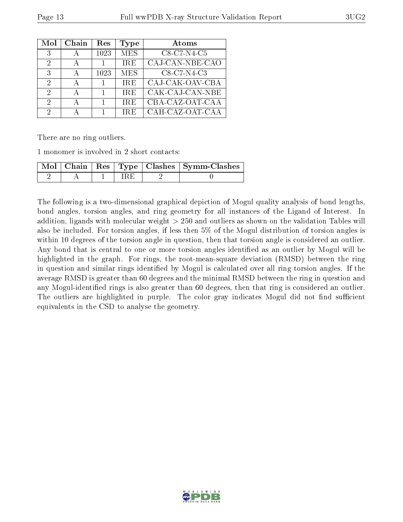| Mol | Chain | Res  | Type       | Atoms           |
|-----|-------|------|------------|-----------------|
| 3   |       | 1023 | <b>MES</b> | $C8-C7-N4-C5$   |
| 2   |       |      | IRE.       | CAJ-CAN-NBE-CAO |
| 3   |       | 1023 | <b>MES</b> | C8-C7-N4-C3     |
| 2   |       |      | <b>IRE</b> | CAJ-CAK-OAV-CBA |
| 2   |       |      | <b>IRE</b> | CAK-CAJ-CAN-NBE |
| 2   |       |      | <b>IRE</b> | CBA-CAZ-OAT-CAA |
| 2   |       |      | IRE.       | CAH-CAZ-OAT-CAA |

There are no ring outliers.

1 monomer is involved in 2 short contacts:

|  |  | Mol   Chain   Res   Type   Clashes   Symm-Clashes |
|--|--|---------------------------------------------------|
|  |  |                                                   |

The following is a two-dimensional graphical depiction of Mogul quality analysis of bond lengths, bond angles, torsion angles, and ring geometry for all instances of the Ligand of Interest. In addition, ligands with molecular weight > 250 and outliers as shown on the validation Tables will also be included. For torsion angles, if less then 5% of the Mogul distribution of torsion angles is within 10 degrees of the torsion angle in question, then that torsion angle is considered an outlier. Any bond that is central to one or more torsion angles identified as an outlier by Mogul will be highlighted in the graph. For rings, the root-mean-square deviation (RMSD) between the ring in question and similar rings identified by Mogul is calculated over all ring torsion angles. If the average RMSD is greater than 60 degrees and the minimal RMSD between the ring in question and any Mogul-identified rings is also greater than 60 degrees, then that ring is considered an outlier. The outliers are highlighted in purple. The color gray indicates Mogul did not find sufficient equivalents in the CSD to analyse the geometry.

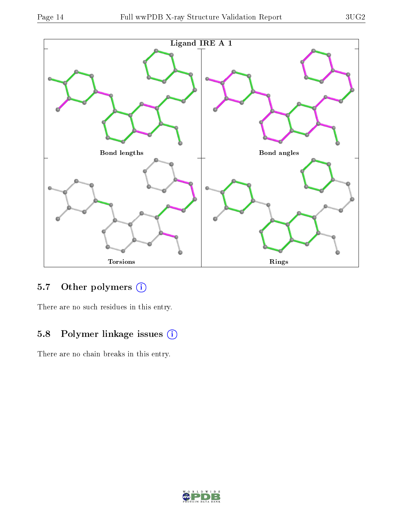

### 5.7 [O](https://www.wwpdb.org/validation/2017/XrayValidationReportHelp#nonstandard_residues_and_ligands)ther polymers (i)

There are no such residues in this entry.

### 5.8 Polymer linkage issues (i)

There are no chain breaks in this entry.

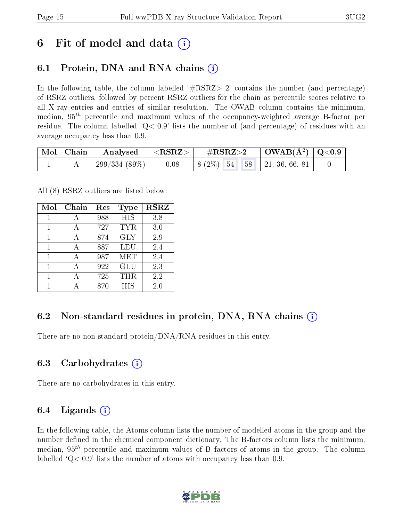## 6 Fit of model and data  $\left( \cdot \right)$

## 6.1 Protein, DNA and RNA chains (i)

In the following table, the column labelled  $#RSRZ>2'$  contains the number (and percentage) of RSRZ outliers, followed by percent RSRZ outliers for the chain as percentile scores relative to all X-ray entries and entries of similar resolution. The OWAB column contains the minimum, median,  $95<sup>th</sup>$  percentile and maximum values of the occupancy-weighted average B-factor per residue. The column labelled  $Q < 0.9$  lists the number of (and percentage) of residues with an average occupancy less than 0.9.

|  | $\mid$ Mol $\mid$ Chain $\mid$ Analysed $\mid$ <rsrz> <math>\mid</math></rsrz> |         |                                                            | $\#RSRZ>2$ $\Box$ OWAB(Å <sup>2</sup> ) $\Box$ Q<0.9 |  |
|--|--------------------------------------------------------------------------------|---------|------------------------------------------------------------|------------------------------------------------------|--|
|  | $\pm 299/334$ (89%) $\pm$                                                      | $-0.08$ | $\vert 8 \ (2\%) \ \ 54 \ \ \ 58 \ \ \vert 21, 36, 66, 81$ |                                                      |  |

All (8) RSRZ outliers are listed below:

| Mol | $Chain$ | $\operatorname{Res}% \left( \mathcal{N}\right) \equiv\operatorname{Res}(\mathcal{N}_{0},\mathcal{N}_{0})$ | <b>Type</b> | <b>RSRZ</b> |
|-----|---------|-----------------------------------------------------------------------------------------------------------|-------------|-------------|
| 1   | А       | 988                                                                                                       | <b>HIS</b>  | 3.8         |
| 1   | А       | 727                                                                                                       | <b>TYR</b>  | 3.0         |
|     |         | 874                                                                                                       | <b>GLY</b>  | 2.9         |
| 1   |         | 887                                                                                                       | LEU         | 2.4         |
| 1   |         | 987                                                                                                       | MET         | 2.4         |
| 1   |         | 922                                                                                                       | GLU         | 2.3         |
|     |         | 725                                                                                                       | THR         | 2.2         |
|     |         | 870                                                                                                       | <b>HIS</b>  | 2.0         |

### 6.2 Non-standard residues in protein, DNA, RNA chains  $(i)$

There are no non-standard protein/DNA/RNA residues in this entry.

#### 6.3 Carbohydrates (i)

There are no carbohydrates in this entry.

### 6.4 Ligands  $(i)$

In the following table, the Atoms column lists the number of modelled atoms in the group and the number defined in the chemical component dictionary. The B-factors column lists the minimum, median,  $95<sup>th</sup>$  percentile and maximum values of B factors of atoms in the group. The column labelled  $Q< 0.9$ ' lists the number of atoms with occupancy less than 0.9.